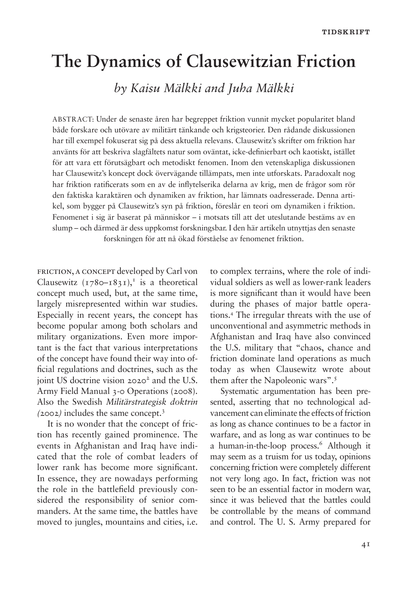# **The Dynamics of Clausewitzian Friction**

*by Kaisu Mälkki and Juha Mälkki*

ABSTRACT: Under de senaste åren har begreppet friktion vunnit mycket popularitet bland både forskare och utövare av militärt tänkande och krigsteorier. Den rådande diskussionen har till exempel fokuserat sig på dess aktuella relevans. Clausewitz's skrifter om friktion har använts för att beskriva slagfältets natur som oväntat, icke-definierbart och kaotiskt, istället för att vara ett förutsägbart och metodiskt fenomen. Inom den vetenskapliga diskussionen har Clausewitz's koncept dock övervägande tillämpats, men inte utforskats. Paradoxalt nog har friktion ratificerats som en av de inflytelserika delarna av krig, men de frågor som rör den faktiska karaktären och dynamiken av friktion, har lämnats oadresserade. Denna artikel, som bygger på Clausewitz's syn på friktion, föreslår en teori om dynamiken i friktion. Fenomenet i sig är baserat på människor – i motsats till att det uteslutande bestäms av en slump – och därmed är dess uppkomst forskningsbar. I den här artikeln utnyttjas den senaste forskningen för att nå ökad förståelse av fenomenet friktion.

friction, a concept developed by Carl von Clausewitz  $(\frac{1780 - 1831}{\cdot})^T$  is a theoretical concept much used, but, at the same time, largely misrepresented within war studies. Especially in recent years, the concept has become popular among both scholars and military organizations. Even more important is the fact that various interpretations of the concept have found their way into official regulations and doctrines, such as the joint US doctrine vision 2020<sup>2</sup> and the U.S. Army Field Manual 3-0 Operations (2008). Also the Swedish *Militärstrategisk doktrin (*2002*)* includes the same concept.<sup>3</sup>

It is no wonder that the concept of friction has recently gained prominence. The events in Afghanistan and Iraq have indicated that the role of combat leaders of lower rank has become more significant. In essence, they are nowadays performing the role in the battlefield previously considered the responsibility of senior commanders. At the same time, the battles have moved to jungles, mountains and cities, i.e.

to complex terrains, where the role of individual soldiers as well as lower-rank leaders is more significant than it would have been during the phases of major battle operations.<sup>4</sup> The irregular threats with the use of unconventional and asymmetric methods in Afghanistan and Iraq have also convinced the U.S. military that "chaos, chance and friction dominate land operations as much today as when Clausewitz wrote about them after the Napoleonic wars".<sup>5</sup>

Systematic argumentation has been presented, asserting that no technological advancement can eliminate the effects of friction as long as chance continues to be a factor in warfare, and as long as war continues to be a human-in-the-loop process.<sup>6</sup> Although it may seem as a truism for us today, opinions concerning friction were completely different not very long ago. In fact, friction was not seen to be an essential factor in modern war, since it was believed that the battles could be controllable by the means of command and control. The U. S. Army prepared for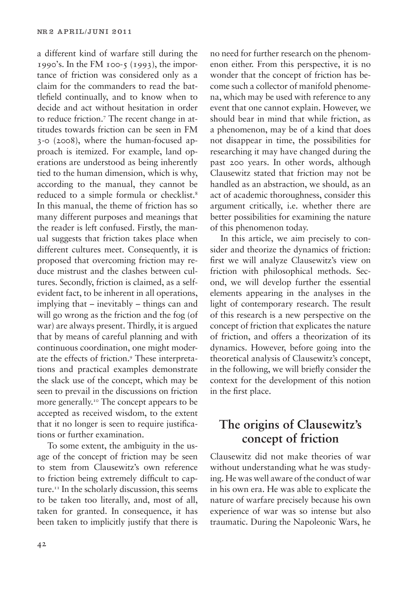a different kind of warfare still during the 1990's. In the FM 100-5 (1993), the importance of friction was considered only as a claim for the commanders to read the battlefield continually, and to know when to decide and act without hesitation in order to reduce friction.<sup>7</sup> The recent change in attitudes towards friction can be seen in FM 3-0 (2008), where the human-focused approach is itemized. For example, land operations are understood as being inherently tied to the human dimension, which is why, according to the manual, they cannot be reduced to a simple formula or checklist.<sup>8</sup> In this manual, the theme of friction has so many different purposes and meanings that the reader is left confused. Firstly, the manual suggests that friction takes place when different cultures meet. Consequently, it is proposed that overcoming friction may reduce mistrust and the clashes between cultures. Secondly, friction is claimed, as a selfevident fact, to be inherent in all operations, implying that – inevitably – things can and will go wrong as the friction and the fog (of war) are always present. Thirdly, it is argued that by means of careful planning and with continuous coordination, one might moderate the effects of friction.<sup>9</sup> These interpretations and practical examples demonstrate the slack use of the concept, which may be seen to prevail in the discussions on friction more generally.<sup>10</sup> The concept appears to be accepted as received wisdom, to the extent that it no longer is seen to require justifications or further examination.

To some extent, the ambiguity in the usage of the concept of friction may be seen to stem from Clausewitz's own reference to friction being extremely difficult to capture.<sup>11</sup> In the scholarly discussion, this seems to be taken too literally, and, most of all, taken for granted. In consequence, it has been taken to implicitly justify that there is

no need for further research on the phenomenon either. From this perspective, it is no wonder that the concept of friction has become such a collector of manifold phenomena, which may be used with reference to any event that one cannot explain. However, we should bear in mind that while friction, as a phenomenon, may be of a kind that does not disappear in time, the possibilities for researching it may have changed during the past 200 years. In other words, although Clausewitz stated that friction may not be handled as an abstraction, we should, as an act of academic thoroughness, consider this argument critically, i.e. whether there are better possibilities for examining the nature of this phenomenon today.

In this article, we aim precisely to consider and theorize the dynamics of friction: first we will analyze Clausewitz's view on friction with philosophical methods. Second, we will develop further the essential elements appearing in the analyses in the light of contemporary research. The result of this research is a new perspective on the concept of friction that explicates the nature of friction, and offers a theorization of its dynamics. However, before going into the theoretical analysis of Clausewitz's concept, in the following, we will briefly consider the context for the development of this notion in the first place.

# **The origins of Clausewitz's concept of friction**

Clausewitz did not make theories of war without understanding what he was studying. He was well aware of the conduct of war in his own era. He was able to explicate the nature of warfare precisely because his own experience of war was so intense but also traumatic. During the Napoleonic Wars, he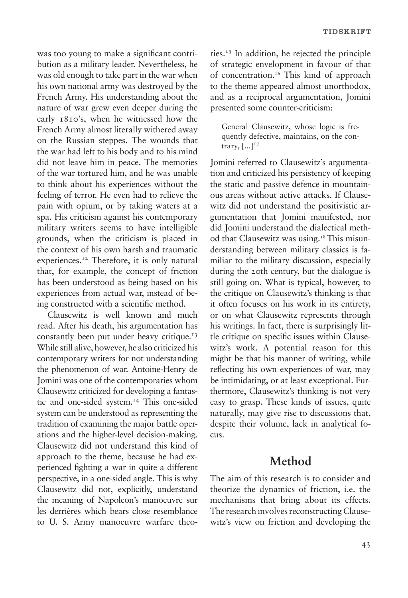was too young to make a significant contribution as a military leader. Nevertheless, he was old enough to take part in the war when his own national army was destroyed by the French Army. His understanding about the nature of war grew even deeper during the early 1810's, when he witnessed how the French Army almost literally withered away on the Russian steppes. The wounds that the war had left to his body and to his mind did not leave him in peace. The memories of the war tortured him, and he was unable to think about his experiences without the feeling of terror. He even had to relieve the pain with opium, or by taking waters at a spa. His criticism against his contemporary military writers seems to have intelligible grounds, when the criticism is placed in the context of his own harsh and traumatic experiences.<sup>12</sup> Therefore, it is only natural that, for example, the concept of friction has been understood as being based on his experiences from actual war, instead of being constructed with a scientific method.

Clausewitz is well known and much read. After his death, his argumentation has constantly been put under heavy critique.<sup>13</sup> While still alive, however, he also criticized his contemporary writers for not understanding the phenomenon of war. Antoine-Henry de Jomini was one of the contemporaries whom Clausewitz criticized for developing a fantastic and one-sided system.<sup>14</sup> This one-sided system can be understood as representing the tradition of examining the major battle operations and the higher-level decision-making. Clausewitz did not understand this kind of approach to the theme, because he had experienced fighting a war in quite a different perspective, in a one-sided angle. This is why Clausewitz did not, explicitly, understand the meaning of Napoleon's manoeuvre sur les derrières which bears close resemblance to U. S. Army manoeuvre warfare theories.<sup>15</sup> In addition, he rejected the principle of strategic envelopment in favour of that of concentration.<sup>16</sup> This kind of approach to the theme appeared almost unorthodox, and as a reciprocal argumentation, Jomini presented some counter-criticism:

General Clausewitz, whose logic is frequently defective, maintains, on the contrary,  $[...]^{17}$ 

Jomini referred to Clausewitz's argumentation and criticized his persistency of keeping the static and passive defence in mountainous areas without active attacks. If Clausewitz did not understand the positivistic argumentation that Jomini manifested, nor did Jomini understand the dialectical method that Clausewitz was using.<sup>18</sup> This misunderstanding between military classics is familiar to the military discussion, especially during the 20th century, but the dialogue is still going on. What is typical, however, to the critique on Clausewitz's thinking is that it often focuses on his work in its entirety, or on what Clausewitz represents through his writings. In fact, there is surprisingly little critique on specific issues within Clausewitz's work. A potential reason for this might be that his manner of writing, while reflecting his own experiences of war, may be intimidating, or at least exceptional. Furthermore, Clausewitz's thinking is not very easy to grasp. These kinds of issues, quite naturally, may give rise to discussions that, despite their volume, lack in analytical focus.

### **Method**

The aim of this research is to consider and theorize the dynamics of friction, i.e. the mechanisms that bring about its effects. The research involves reconstructing Clausewitz's view on friction and developing the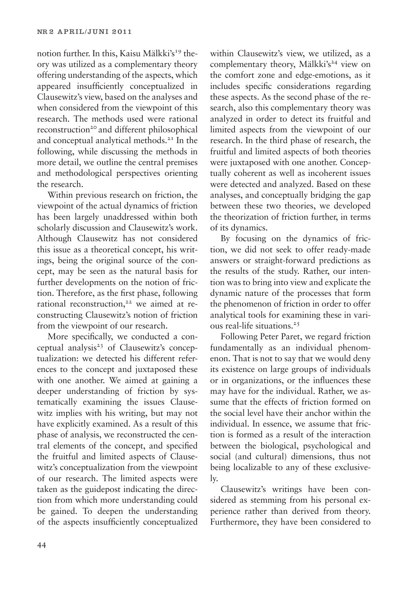notion further. In this, Kaisu Mälkki's<sup>19</sup> theory was utilized as a complementary theory offering understanding of the aspects, which appeared insufficiently conceptualized in Clausewitz's view, based on the analyses and when considered from the viewpoint of this research. The methods used were rational reconstruction<sup>20</sup> and different philosophical and conceptual analytical methods.<sup>21</sup> In the following, while discussing the methods in more detail, we outline the central premises and methodological perspectives orienting the research.

Within previous research on friction, the viewpoint of the actual dynamics of friction has been largely unaddressed within both scholarly discussion and Clausewitz's work. Although Clausewitz has not considered this issue as a theoretical concept, his writings, being the original source of the concept, may be seen as the natural basis for further developments on the notion of friction. Therefore, as the first phase, following rational reconstruction,<sup>22</sup> we aimed at reconstructing Clausewitz's notion of friction from the viewpoint of our research.

More specifically, we conducted a conceptual analysis<sup>23</sup> of Clausewitz's conceptualization: we detected his different references to the concept and juxtaposed these with one another. We aimed at gaining a deeper understanding of friction by systematically examining the issues Clausewitz implies with his writing, but may not have explicitly examined. As a result of this phase of analysis, we reconstructed the central elements of the concept, and specified the fruitful and limited aspects of Clausewitz's conceptualization from the viewpoint of our research. The limited aspects were taken as the guidepost indicating the direction from which more understanding could be gained. To deepen the understanding of the aspects insufficiently conceptualized within Clausewitz's view, we utilized, as a complementary theory, Mälkki's<sup>24</sup> view on the comfort zone and edge-emotions, as it includes specific considerations regarding these aspects. As the second phase of the research, also this complementary theory was analyzed in order to detect its fruitful and limited aspects from the viewpoint of our research. In the third phase of research, the fruitful and limited aspects of both theories were juxtaposed with one another. Conceptually coherent as well as incoherent issues were detected and analyzed. Based on these analyses, and conceptually bridging the gap between these two theories, we developed the theorization of friction further, in terms of its dynamics.

By focusing on the dynamics of friction, we did not seek to offer ready-made answers or straight-forward predictions as the results of the study. Rather, our intention was to bring into view and explicate the dynamic nature of the processes that form the phenomenon of friction in order to offer analytical tools for examining these in various real-life situations.<sup>25</sup>

Following Peter Paret, we regard friction fundamentally as an individual phenomenon. That is not to say that we would deny its existence on large groups of individuals or in organizations, or the influences these may have for the individual. Rather, we assume that the effects of friction formed on the social level have their anchor within the individual. In essence, we assume that friction is formed as a result of the interaction between the biological, psychological and social (and cultural) dimensions, thus not being localizable to any of these exclusively.

Clausewitz's writings have been considered as stemming from his personal experience rather than derived from theory. Furthermore, they have been considered to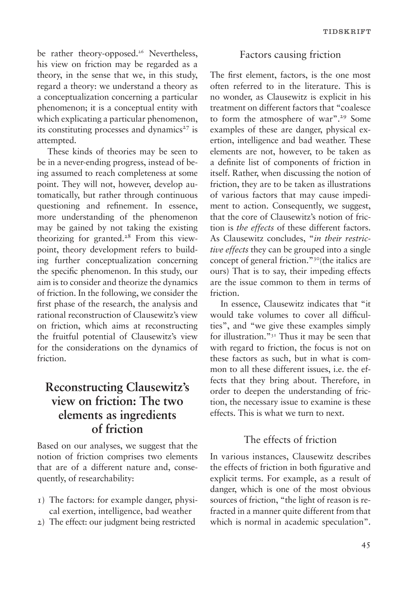be rather theory-opposed.<sup>26</sup> Nevertheless, his view on friction may be regarded as a theory, in the sense that we, in this study, regard a theory: we understand a theory as a conceptualization concerning a particular phenomenon; it is a conceptual entity with which explicating a particular phenomenon, its constituting processes and dynamics $27$  is attempted.

These kinds of theories may be seen to be in a never-ending progress, instead of being assumed to reach completeness at some point. They will not, however, develop automatically, but rather through continuous questioning and refinement. In essence, more understanding of the phenomenon may be gained by not taking the existing theorizing for granted.<sup>28</sup> From this viewpoint, theory development refers to building further conceptualization concerning the specific phenomenon. In this study, our aim is to consider and theorize the dynamics of friction. In the following, we consider the first phase of the research, the analysis and rational reconstruction of Clausewitz's view on friction, which aims at reconstructing the fruitful potential of Clausewitz's view for the considerations on the dynamics of friction.

# **Reconstructing Clausewitz's view on friction: The two elements as ingredients of friction**

Based on our analyses, we suggest that the notion of friction comprises two elements that are of a different nature and, consequently, of researchability:

- 1) The factors: for example danger, physical exertion, intelligence, bad weather
- 2) The effect: our judgment being restricted

#### Factors causing friction

The first element, factors, is the one most often referred to in the literature. This is no wonder, as Clausewitz is explicit in his treatment on different factors that "coalesce to form the atmosphere of war".<sup>29</sup> Some examples of these are danger, physical exertion, intelligence and bad weather. These elements are not, however, to be taken as a definite list of components of friction in itself. Rather, when discussing the notion of friction, they are to be taken as illustrations of various factors that may cause impediment to action. Consequently, we suggest, that the core of Clausewitz's notion of friction is *the effects* of these different factors. As Clausewitz concludes, "*in their restrictive effects* they can be grouped into a single concept of general friction."<sup>30</sup>(the italics are ours) That is to say, their impeding effects are the issue common to them in terms of friction.

In essence, Clausewitz indicates that "it would take volumes to cover all difficulties", and "we give these examples simply for illustration."31 Thus it may be seen that with regard to friction, the focus is not on these factors as such, but in what is common to all these different issues, i.e. the effects that they bring about. Therefore, in order to deepen the understanding of friction, the necessary issue to examine is these effects. This is what we turn to next.

#### The effects of friction

In various instances, Clausewitz describes the effects of friction in both figurative and explicit terms. For example, as a result of danger, which is one of the most obvious sources of friction, "the light of reason is refracted in a manner quite different from that which is normal in academic speculation".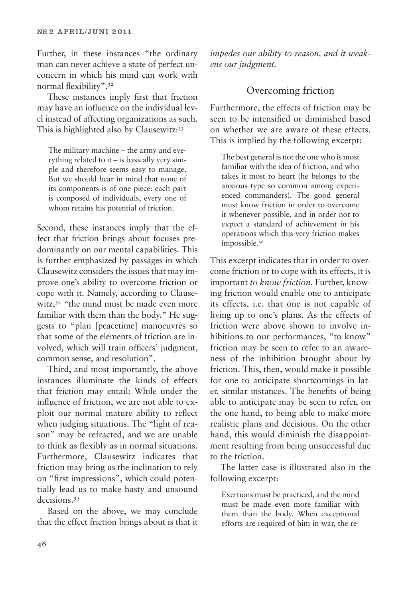Further, in these instances "the ordinary man can never achieve a state of perfect unconcern in which his mind can work with normal flexibility".<sup>32</sup>

These instances imply first that friction may have an influence on the individual level instead of affecting organizations as such. This is highlighted also by Clausewitz:<sup>33</sup>

The military machine – the army and everything related to it – is basically very simple and therefore seems easy to manage. But we should bear in mind that none of its components is of one piece: each part is composed of individuals, every one of whom retains his potential of friction.

Second, these instances imply that the effect that friction brings about focuses predominantly on our mental capabilities. This is further emphasized by passages in which Clausewitz considers the issues that may improve one's ability to overcome friction or cope with it. Namely, according to Clausewitz,<sup>34</sup> "the mind must be made even more familiar with them than the body." He suggests to "plan [peacetime] manoeuvres so that some of the elements of friction are involved, which will train officers' judgment, common sense, and resolution".

Third, and most importantly, the above instances illuminate the kinds of effects that friction may entail: While under the influence of friction, we are not able to exploit our normal mature ability to reflect when judging situations. The "light of reason" may be refracted, and we are unable to think as flexibly as in normal situations. Furthermore, Clausewitz indicates that friction may bring us the inclination to rely on "first impressions", which could potentially lead us to make hasty and unsound decisions.<sup>35</sup>

Based on the above, we may conclude that the effect friction brings about is that it *impedes our ability to reason, and it weakens our judgment.* 

### Overcoming friction

Furthermore, the effects of friction may be seen to be intensified or diminished based on whether we are aware of these effects. This is implied by the following excerpt:

The best general is not the one who is most familiar with the idea of friction, and who takes it most to heart (he belongs to the anxious type so common among experienced commanders). The good general must know friction in order to overcome it whenever possible, and in order not to expect a standard of achievement in his operations which this very friction makes impossible.<sup>36</sup>

This excerpt indicates that in order to overcome friction or to cope with its effects, it is important *to know friction*. Further, knowing friction would enable one to anticipate its effects, i.e. that one is not capable of living up to one's plans. As the effects of friction were above shown to involve inhibitions to our performances, "to know" friction may be seen to refer to an awareness of the inhibition brought about by friction. This, then, would make it possible for one to anticipate shortcomings in later, similar instances. The benefits of being able to anticipate may be seen to refer, on the one hand, to being able to make more realistic plans and decisions. On the other hand, this would diminish the disappointment resulting from being unsuccessful due to the friction.

The latter case is illustrated also in the following excerpt:

Exertions must be practiced, and the mind must be made even more familiar with them than the body. When exceptional efforts are required of him in war, the re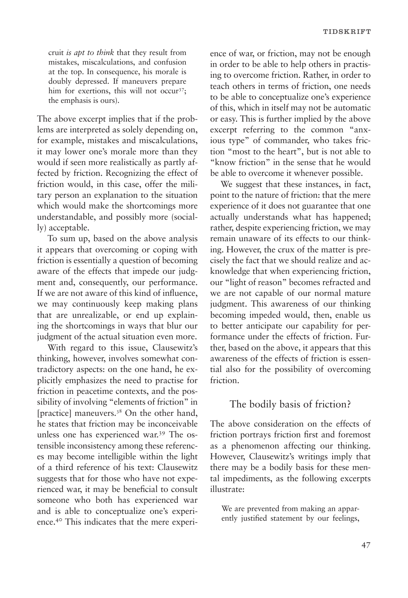cruit *is apt to think* that they result from mistakes, miscalculations, and confusion at the top. In consequence, his morale is doubly depressed. If maneuvers prepare him for exertions, this will not occur<sup>37</sup>; the emphasis is ours).

The above excerpt implies that if the problems are interpreted as solely depending on, for example, mistakes and miscalculations, it may lower one's morale more than they would if seen more realistically as partly affected by friction. Recognizing the effect of friction would, in this case, offer the military person an explanation to the situation which would make the shortcomings more understandable, and possibly more (socially) acceptable.

To sum up, based on the above analysis it appears that overcoming or coping with friction is essentially a question of becoming aware of the effects that impede our judgment and, consequently, our performance. If we are not aware of this kind of influence, we may continuously keep making plans that are unrealizable, or end up explaining the shortcomings in ways that blur our judgment of the actual situation even more.

With regard to this issue, Clausewitz's thinking, however, involves somewhat contradictory aspects: on the one hand, he explicitly emphasizes the need to practise for friction in peacetime contexts, and the possibility of involving "elements of friction" in [practice] maneuvers.38 On the other hand, he states that friction may be inconceivable unless one has experienced war.<sup>39</sup> The ostensible inconsistency among these references may become intelligible within the light of a third reference of his text: Clausewitz suggests that for those who have not experienced war, it may be beneficial to consult someone who both has experienced war and is able to conceptualize one's experience.<sup>40</sup> This indicates that the mere experience of war, or friction, may not be enough in order to be able to help others in practising to overcome friction. Rather, in order to teach others in terms of friction, one needs to be able to conceptualize one's experience of this, which in itself may not be automatic or easy. This is further implied by the above excerpt referring to the common "anxious type" of commander, who takes friction "most to the heart", but is not able to "know friction" in the sense that he would be able to overcome it whenever possible.

We suggest that these instances, in fact, point to the nature of friction: that the mere experience of it does not guarantee that one actually understands what has happened; rather, despite experiencing friction, we may remain unaware of its effects to our thinking. However, the crux of the matter is precisely the fact that we should realize and acknowledge that when experiencing friction, our "light of reason" becomes refracted and we are not capable of our normal mature judgment. This awareness of our thinking becoming impeded would, then, enable us to better anticipate our capability for performance under the effects of friction. Further, based on the above, it appears that this awareness of the effects of friction is essential also for the possibility of overcoming friction.

#### The bodily basis of friction?

The above consideration on the effects of friction portrays friction first and foremost as a phenomenon affecting our thinking. However, Clausewitz's writings imply that there may be a bodily basis for these mental impediments, as the following excerpts illustrate:

We are prevented from making an apparently justified statement by our feelings,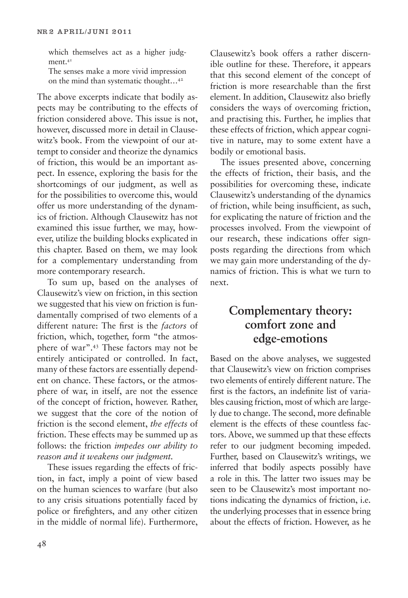which themselves act as a higher judgment.<sup>41</sup>

The senses make a more vivid impression on the mind than systematic thought…<sup>42</sup>

The above excerpts indicate that bodily aspects may be contributing to the effects of friction considered above. This issue is not, however, discussed more in detail in Clausewitz's book. From the viewpoint of our attempt to consider and theorize the dynamics of friction, this would be an important aspect. In essence, exploring the basis for the shortcomings of our judgment, as well as for the possibilities to overcome this, would offer us more understanding of the dynamics of friction. Although Clausewitz has not examined this issue further, we may, however, utilize the building blocks explicated in this chapter. Based on them, we may look for a complementary understanding from more contemporary research.

To sum up, based on the analyses of Clausewitz's view on friction, in this section we suggested that his view on friction is fundamentally comprised of two elements of a different nature: The first is the *factors* of friction, which, together, form "the atmosphere of war".<sup>43</sup> These factors may not be entirely anticipated or controlled. In fact, many of these factors are essentially dependent on chance. These factors, or the atmosphere of war, in itself, are not the essence of the concept of friction, however. Rather, we suggest that the core of the notion of friction is the second element, *the effects* of friction. These effects may be summed up as follows: the friction *impedes our ability to reason and it weakens our judgment.*

These issues regarding the effects of friction, in fact, imply a point of view based on the human sciences to warfare (but also to any crisis situations potentially faced by police or firefighters, and any other citizen in the middle of normal life). Furthermore,

Clausewitz's book offers a rather discernible outline for these. Therefore, it appears that this second element of the concept of friction is more researchable than the first element. In addition, Clausewitz also briefly considers the ways of overcoming friction, and practising this. Further, he implies that these effects of friction, which appear cognitive in nature, may to some extent have a bodily or emotional basis.

The issues presented above, concerning the effects of friction, their basis, and the possibilities for overcoming these, indicate Clausewitz's understanding of the dynamics of friction, while being insufficient, as such, for explicating the nature of friction and the processes involved. From the viewpoint of our research, these indications offer signposts regarding the directions from which we may gain more understanding of the dynamics of friction. This is what we turn to next.

## **Complementary theory: comfort zone and edge-emotions**

Based on the above analyses, we suggested that Clausewitz's view on friction comprises two elements of entirely different nature. The first is the factors, an indefinite list of variables causing friction, most of which are largely due to change. The second, more definable element is the effects of these countless factors. Above, we summed up that these effects refer to our judgment becoming impeded. Further, based on Clausewitz's writings, we inferred that bodily aspects possibly have a role in this. The latter two issues may be seen to be Clausewitz's most important notions indicating the dynamics of friction, i.e. the underlying processes that in essence bring about the effects of friction. However, as he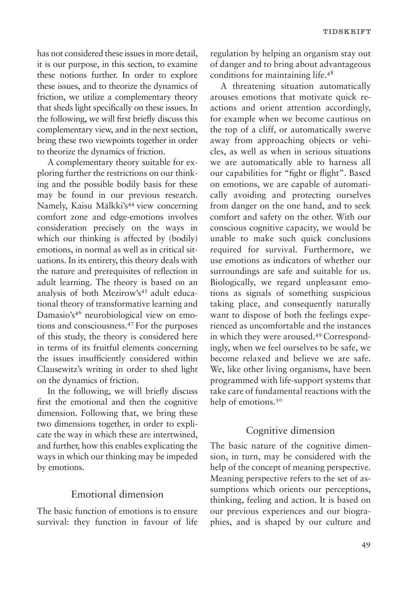has not considered these issues in more detail, it is our purpose, in this section, to examine these notions further. In order to explore these issues, and to theorize the dynamics of friction, we utilize a complementary theory that sheds light specifically on these issues. In the following, we will first briefly discuss this complementary view, and in the next section, bring these two viewpoints together in order to theorize the dynamics of friction.

A complementary theory suitable for exploring further the restrictions on our thinking and the possible bodily basis for these may be found in our previous research. Namely, Kaisu Mälkki's<sup>44</sup> view concerning comfort zone and edge-emotions involves consideration precisely on the ways in which our thinking is affected by (bodily) emotions, in normal as well as in critical situations. In its entirety, this theory deals with the nature and prerequisites of reflection in adult learning. The theory is based on an analysis of both Mezirow's<sup>45</sup> adult educational theory of transformative learning and Damasio's<sup>46</sup> neurobiological view on emotions and consciousness.<sup>47</sup> For the purposes of this study, the theory is considered here in terms of its fruitful elements concerning the issues insufficiently considered within Clausewitz's writing in order to shed light on the dynamics of friction.

In the following, we will briefly discuss first the emotional and then the cognitive dimension. Following that, we bring these two dimensions together, in order to explicate the way in which these are intertwined, and further, how this enables explicating the ways in which our thinking may be impeded by emotions.

#### Emotional dimension

The basic function of emotions is to ensure survival: they function in favour of life regulation by helping an organism stay out of danger and to bring about advantageous conditions for maintaining life.<sup>48</sup>

A threatening situation automatically arouses emotions that motivate quick reactions and orient attention accordingly, for example when we become cautious on the top of a cliff, or automatically swerve away from approaching objects or vehicles, as well as when in serious situations we are automatically able to harness all our capabilities for "fight or flight". Based on emotions, we are capable of automatically avoiding and protecting ourselves from danger on the one hand, and to seek comfort and safety on the other. With our conscious cognitive capacity, we would be unable to make such quick conclusions required for survival. Furthermore, we use emotions as indicators of whether our surroundings are safe and suitable for us. Biologically, we regard unpleasant emotions as signals of something suspicious taking place, and consequently naturally want to dispose of both the feelings experienced as uncomfortable and the instances in which they were aroused.<sup>49</sup> Correspondingly, when we feel ourselves to be safe, we become relaxed and believe we are safe. We, like other living organisms, have been programmed with life-support systems that take care of fundamental reactions with the help of emotions.<sup>50</sup>

#### Cognitive dimension

The basic nature of the cognitive dimension, in turn, may be considered with the help of the concept of meaning perspective. Meaning perspective refers to the set of assumptions which orients our perceptions, thinking, feeling and action. It is based on our previous experiences and our biographies, and is shaped by our culture and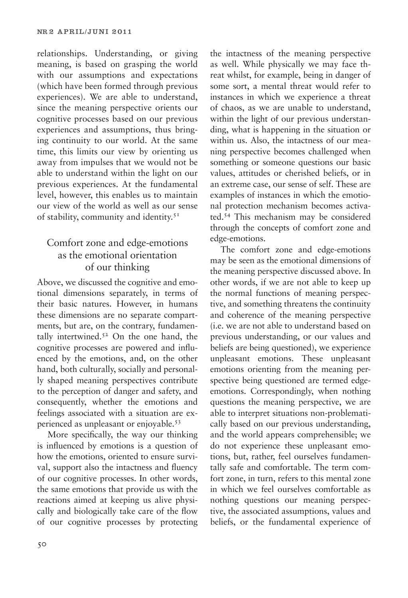relationships. Understanding, or giving meaning, is based on grasping the world with our assumptions and expectations (which have been formed through previous experiences). We are able to understand, since the meaning perspective orients our cognitive processes based on our previous experiences and assumptions, thus bringing continuity to our world. At the same time, this limits our view by orienting us away from impulses that we would not be able to understand within the light on our previous experiences. At the fundamental level, however, this enables us to maintain our view of the world as well as our sense of stability, community and identity.<sup>51</sup>

### Comfort zone and edge-emotions as the emotional orientation of our thinking

Above, we discussed the cognitive and emotional dimensions separately, in terms of their basic natures. However, in humans these dimensions are no separate compartments, but are, on the contrary, fundamentally intertwined. $52$  On the one hand, the cognitive processes are powered and influenced by the emotions, and, on the other hand, both culturally, socially and personally shaped meaning perspectives contribute to the perception of danger and safety, and consequently, whether the emotions and feelings associated with a situation are experienced as unpleasant or enjoyable.<sup>53</sup>

More specifically, the way our thinking is influenced by emotions is a question of how the emotions, oriented to ensure survival, support also the intactness and fluency of our cognitive processes. In other words, the same emotions that provide us with the reactions aimed at keeping us alive physically and biologically take care of the flow of our cognitive processes by protecting the intactness of the meaning perspective as well. While physically we may face threat whilst, for example, being in danger of some sort, a mental threat would refer to instances in which we experience a threat of chaos, as we are unable to understand, within the light of our previous understanding, what is happening in the situation or within us. Also, the intactness of our meaning perspective becomes challenged when something or someone questions our basic values, attitudes or cherished beliefs, or in an extreme case, our sense of self. These are examples of instances in which the emotional protection mechanism becomes activated.<sup>54</sup> This mechanism may be considered through the concepts of comfort zone and edge-emotions.

The comfort zone and edge-emotions may be seen as the emotional dimensions of the meaning perspective discussed above. In other words, if we are not able to keep up the normal functions of meaning perspective, and something threatens the continuity and coherence of the meaning perspective (i.e. we are not able to understand based on previous understanding, or our values and beliefs are being questioned), we experience unpleasant emotions. These unpleasant emotions orienting from the meaning perspective being questioned are termed edgeemotions. Correspondingly, when nothing questions the meaning perspective, we are able to interpret situations non-problematically based on our previous understanding, and the world appears comprehensible; we do not experience these unpleasant emotions, but, rather, feel ourselves fundamentally safe and comfortable. The term comfort zone, in turn, refers to this mental zone in which we feel ourselves comfortable as nothing questions our meaning perspective, the associated assumptions, values and beliefs, or the fundamental experience of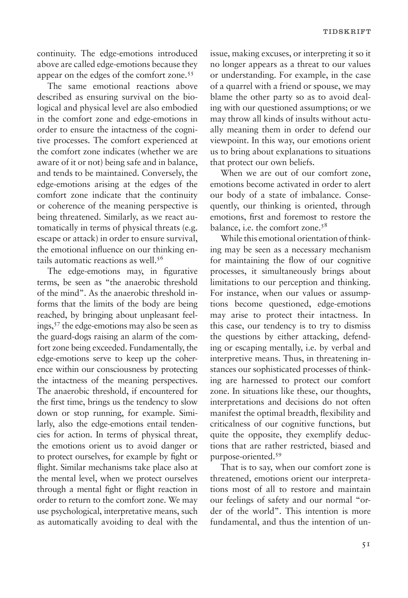continuity. The edge-emotions introduced above are called edge-emotions because they appear on the edges of the comfort zone.<sup>55</sup>

The same emotional reactions above described as ensuring survival on the biological and physical level are also embodied in the comfort zone and edge-emotions in order to ensure the intactness of the cognitive processes. The comfort experienced at the comfort zone indicates (whether we are aware of it or not) being safe and in balance, and tends to be maintained. Conversely, the edge-emotions arising at the edges of the comfort zone indicate that the continuity or coherence of the meaning perspective is being threatened. Similarly, as we react automatically in terms of physical threats (e.g. escape or attack) in order to ensure survival, the emotional influence on our thinking entails automatic reactions as well.<sup>56</sup>

The edge-emotions may, in figurative terms, be seen as "the anaerobic threshold of the mind". As the anaerobic threshold informs that the limits of the body are being reached, by bringing about unpleasant feelings,<sup>57</sup> the edge-emotions may also be seen as the guard-dogs raising an alarm of the comfort zone being exceeded. Fundamentally, the edge-emotions serve to keep up the coherence within our consciousness by protecting the intactness of the meaning perspectives. The anaerobic threshold, if encountered for the first time, brings us the tendency to slow down or stop running, for example. Similarly, also the edge-emotions entail tendencies for action. In terms of physical threat, the emotions orient us to avoid danger or to protect ourselves, for example by fight or flight. Similar mechanisms take place also at the mental level, when we protect ourselves through a mental fight or flight reaction in order to return to the comfort zone. We may use psychological, interpretative means, such as automatically avoiding to deal with the

issue, making excuses, or interpreting it so it no longer appears as a threat to our values or understanding. For example, in the case of a quarrel with a friend or spouse, we may blame the other party so as to avoid dealing with our questioned assumptions; or we may throw all kinds of insults without actually meaning them in order to defend our viewpoint. In this way, our emotions orient us to bring about explanations to situations that protect our own beliefs.

When we are out of our comfort zone, emotions become activated in order to alert our body of a state of imbalance. Consequently, our thinking is oriented, through emotions, first and foremost to restore the balance, i.e. the comfort zone.<sup>58</sup>

While this emotional orientation of thinking may be seen as a necessary mechanism for maintaining the flow of our cognitive processes, it simultaneously brings about limitations to our perception and thinking. For instance, when our values or assumptions become questioned, edge-emotions may arise to protect their intactness. In this case, our tendency is to try to dismiss the questions by either attacking, defending or escaping mentally, i.e. by verbal and interpretive means. Thus, in threatening instances our sophisticated processes of thinking are harnessed to protect our comfort zone. In situations like these, our thoughts, interpretations and decisions do not often manifest the optimal breadth, flexibility and criticalness of our cognitive functions, but quite the opposite, they exemplify deductions that are rather restricted, biased and purpose-oriented.<sup>59</sup>

That is to say, when our comfort zone is threatened, emotions orient our interpretations most of all to restore and maintain our feelings of safety and our normal "order of the world". This intention is more fundamental, and thus the intention of un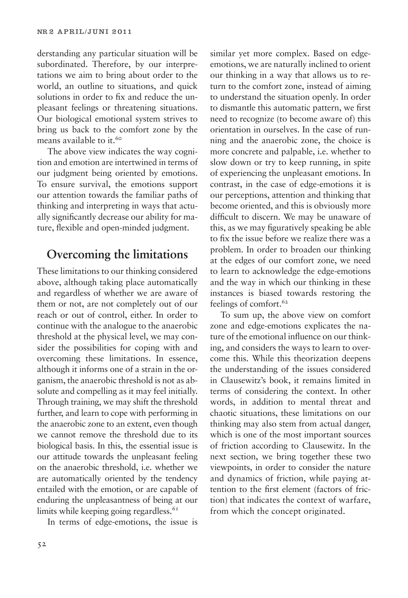derstanding any particular situation will be subordinated. Therefore, by our interpretations we aim to bring about order to the world, an outline to situations, and quick solutions in order to fix and reduce the unpleasant feelings or threatening situations. Our biological emotional system strives to bring us back to the comfort zone by the means available to it.<sup>60</sup>

The above view indicates the way cognition and emotion are intertwined in terms of our judgment being oriented by emotions. To ensure survival, the emotions support our attention towards the familiar paths of thinking and interpreting in ways that actually significantly decrease our ability for mature, flexible and open-minded judgment.

# **Overcoming the limitations**

These limitations to our thinking considered above, although taking place automatically and regardless of whether we are aware of them or not, are not completely out of our reach or out of control, either. In order to continue with the analogue to the anaerobic threshold at the physical level, we may consider the possibilities for coping with and overcoming these limitations. In essence, although it informs one of a strain in the organism, the anaerobic threshold is not as absolute and compelling as it may feel initially. Through training, we may shift the threshold further, and learn to cope with performing in the anaerobic zone to an extent, even though we cannot remove the threshold due to its biological basis. In this, the essential issue is our attitude towards the unpleasant feeling on the anaerobic threshold, i.e. whether we are automatically oriented by the tendency entailed with the emotion, or are capable of enduring the unpleasantness of being at our limits while keeping going regardless. $61$ 

In terms of edge-emotions, the issue is

similar yet more complex. Based on edgeemotions, we are naturally inclined to orient our thinking in a way that allows us to return to the comfort zone, instead of aiming to understand the situation openly. In order to dismantle this automatic pattern, we first need to recognize (to become aware of) this orientation in ourselves. In the case of running and the anaerobic zone, the choice is more concrete and palpable, i.e. whether to slow down or try to keep running, in spite of experiencing the unpleasant emotions. In contrast, in the case of edge-emotions it is our perceptions, attention and thinking that become oriented, and this is obviously more difficult to discern. We may be unaware of this, as we may figuratively speaking be able to fix the issue before we realize there was a problem. In order to broaden our thinking at the edges of our comfort zone, we need to learn to acknowledge the edge-emotions and the way in which our thinking in these instances is biased towards restoring the feelings of comfort. $62$ 

To sum up, the above view on comfort zone and edge-emotions explicates the nature of the emotional influence on our thinking, and considers the ways to learn to overcome this. While this theorization deepens the understanding of the issues considered in Clausewitz's book, it remains limited in terms of considering the context. In other words, in addition to mental threat and chaotic situations, these limitations on our thinking may also stem from actual danger, which is one of the most important sources of friction according to Clausewitz. In the next section, we bring together these two viewpoints, in order to consider the nature and dynamics of friction, while paying attention to the first element (factors of friction) that indicates the context of warfare, from which the concept originated.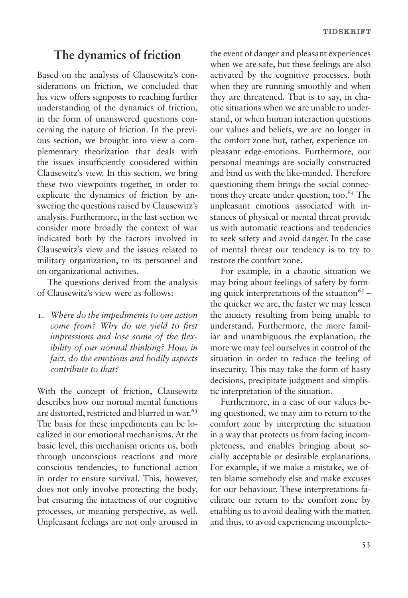### **The dynamics of friction**

Based on the analysis of Clausewitz's considerations on friction, we concluded that his view offers signposts to reaching further understanding of the dynamics of friction, in the form of unanswered questions concerning the nature of friction. In the previous section, we brought into view a complementary theorization that deals with the issues insufficiently considered within Clausewitz's view. In this section, we bring these two viewpoints together, in order to explicate the dynamics of friction by answering the questions raised by Clausewitz's analysis. Furthermore, in the last section we consider more broadly the context of war indicated both by the factors involved in Clausewitz's view and the issues related to military organization, to its personnel and on organizational activities.

The questions derived from the analysis of Clausewitz's view were as follows:

1. *Where do the impediments to our action come from? Why do we yield to first impressions and lose some of the flexibility of our normal thinking? How, in fact, do the emotions and bodily aspects contribute to that?* 

With the concept of friction, Clausewitz describes how our normal mental functions are distorted, restricted and blurred in war.<sup>63</sup> The basis for these impediments can be localized in our emotional mechanisms. At the basic level, this mechanism orients us, both through unconscious reactions and more conscious tendencies, to functional action in order to ensure survival. This, however, does not only involve protecting the body, but ensuring the intactness of our cognitive processes, or meaning perspective, as well. Unpleasant feelings are not only aroused in the event of danger and pleasant experiences when we are safe, but these feelings are also activated by the cognitive processes, both when they are running smoothly and when they are threatened. That is to say, in chaotic situations when we are unable to understand, or when human interaction questions our values and beliefs, we are no longer in thc omfort zone but, rather, experience unpleasant edge-emotions. Furthermore, our personal meanings are socially constructed and bind us with the like-minded. Therefore questioning them brings the social connections they create under question, too.<sup>64</sup> The unpleasant emotions associated with instances of physical or mental threat provide us with automatic reactions and tendencies to seek safety and avoid danger. In the case of mental threat our tendency is to try to restore the comfort zone.

For example, in a chaotic situation we may bring about feelings of safety by forming quick interpretations of the situation<sup>65</sup> – the quicker we are, the faster we may lessen the anxiety resulting from being unable to understand. Furthermore, the more familiar and unambiguous the explanation, the more we may feel ourselves in control of the situation in order to reduce the feeling of insecurity. This may take the form of hasty decisions, precipitate judgment and simplistic interpretation of the situation.

Furthermore, in a case of our values being questioned, we may aim to return to the comfort zone by interpreting the situation in a way that protects us from facing incompleteness, and enables bringing about socially acceptable or desirable explanations. For example, if we make a mistake, we often blame somebody else and make excuses for our behaviour. These interpretations facilitate our return to the comfort zone by enabling us to avoid dealing with the matter, and thus, to avoid experiencing incomplete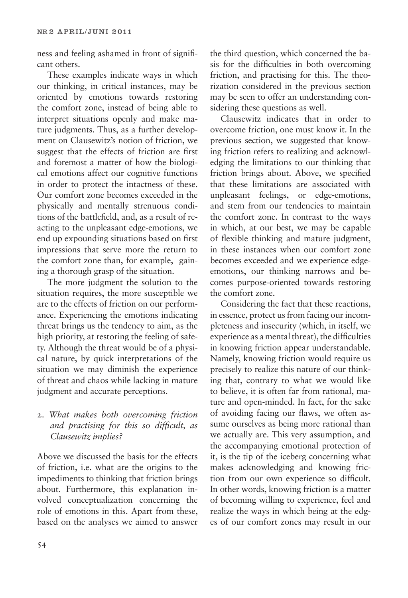ness and feeling ashamed in front of significant others.

These examples indicate ways in which our thinking, in critical instances, may be oriented by emotions towards restoring the comfort zone, instead of being able to interpret situations openly and make mature judgments. Thus, as a further development on Clausewitz's notion of friction, we suggest that the effects of friction are first and foremost a matter of how the biological emotions affect our cognitive functions in order to protect the intactness of these. Our comfort zone becomes exceeded in the physically and mentally strenuous conditions of the battlefield, and, as a result of reacting to the unpleasant edge-emotions, we end up expounding situations based on first impressions that serve more the return to the comfort zone than, for example, gaining a thorough grasp of the situation.

The more judgment the solution to the situation requires, the more susceptible we are to the effects of friction on our performance. Experiencing the emotions indicating threat brings us the tendency to aim, as the high priority, at restoring the feeling of safety. Although the threat would be of a physical nature, by quick interpretations of the situation we may diminish the experience of threat and chaos while lacking in mature judgment and accurate perceptions.

#### 2. *What makes both overcoming friction and practising for this so difficult, as Clausewitz implies?*

Above we discussed the basis for the effects of friction, i.e. what are the origins to the impediments to thinking that friction brings about. Furthermore, this explanation involved conceptualization concerning the role of emotions in this. Apart from these, based on the analyses we aimed to answer

the third question, which concerned the basis for the difficulties in both overcoming friction, and practising for this. The theorization considered in the previous section may be seen to offer an understanding considering these questions as well.

Clausewitz indicates that in order to overcome friction, one must know it. In the previous section, we suggested that knowing friction refers to realizing and acknowledging the limitations to our thinking that friction brings about. Above, we specified that these limitations are associated with unpleasant feelings, or edge-emotions, and stem from our tendencies to maintain the comfort zone. In contrast to the ways in which, at our best, we may be capable of flexible thinking and mature judgment, in these instances when our comfort zone becomes exceeded and we experience edgeemotions, our thinking narrows and becomes purpose-oriented towards restoring the comfort zone.

Considering the fact that these reactions, in essence, protect us from facing our incompleteness and insecurity (which, in itself, we experience as a mental threat), the difficulties in knowing friction appear understandable. Namely, knowing friction would require us precisely to realize this nature of our thinking that, contrary to what we would like to believe, it is often far from rational, mature and open-minded. In fact, for the sake of avoiding facing our flaws, we often assume ourselves as being more rational than we actually are. This very assumption, and the accompanying emotional protection of it, is the tip of the iceberg concerning what makes acknowledging and knowing friction from our own experience so difficult. In other words, knowing friction is a matter of becoming willing to experience, feel and realize the ways in which being at the edges of our comfort zones may result in our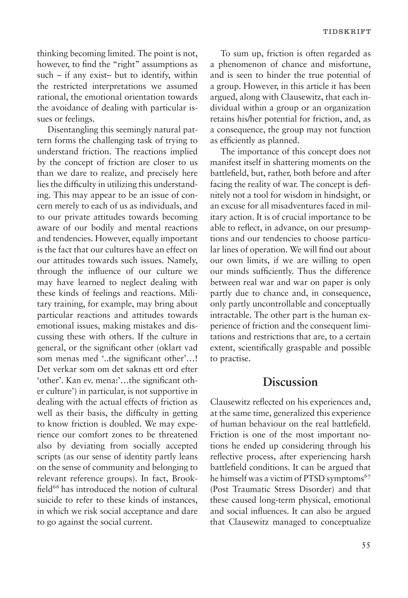thinking becoming limited. The point is not, however, to find the "right" assumptions as such – if any exist– but to identify, within the restricted interpretations we assumed rational, the emotional orientation towards the avoidance of dealing with particular issues or feelings.

Disentangling this seemingly natural pattern forms the challenging task of trying to understand friction. The reactions implied by the concept of friction are closer to us than we dare to realize, and precisely here lies the difficulty in utilizing this understanding. This may appear to be an issue of concern merely to each of us as individuals, and to our private attitudes towards becoming aware of our bodily and mental reactions and tendencies. However, equally important is the fact that our cultures have an effect on our attitudes towards such issues. Namely, through the influence of our culture we may have learned to neglect dealing with these kinds of feelings and reactions. Military training, for example, may bring about particular reactions and attitudes towards emotional issues, making mistakes and discussing these with others. If the culture in general, or the significant other (oklart vad som menas med '..the significant other'…! Det verkar som om det saknas ett ord efter 'other'. Kan ev. mena:'…the significant other culture') in particular, is not supportive in dealing with the actual effects of friction as well as their basis, the difficulty in getting to know friction is doubled. We may experience our comfort zones to be threatened also by deviating from socially accepted scripts (as our sense of identity partly leans on the sense of community and belonging to relevant reference groups). In fact, Brookfield<sup>66</sup> has introduced the notion of cultural suicide to refer to these kinds of instances, in which we risk social acceptance and dare to go against the social current.

To sum up, friction is often regarded as a phenomenon of chance and misfortune, and is seen to hinder the true potential of a group. However, in this article it has been argued, along with Clausewitz, that each individual within a group or an organization retains his/her potential for friction, and, as a consequence, the group may not function as efficiently as planned.

The importance of this concept does not manifest itself in shattering moments on the battlefield, but, rather, both before and after facing the reality of war. The concept is definitely not a tool for wisdom in hindsight, or an excuse for all misadventures faced in military action. It is of crucial importance to be able to reflect, in advance, on our presumptions and our tendencies to choose particular lines of operation. We will find out about our own limits, if we are willing to open our minds sufficiently. Thus the difference between real war and war on paper is only partly due to chance and, in consequence, only partly uncontrollable and conceptually intractable. The other part is the human experience of friction and the consequent limitations and restrictions that are, to a certain extent, scientifically graspable and possible to practise.

### **Discussion**

Clausewitz reflected on his experiences and, at the same time, generalized this experience of human behaviour on the real battlefield. Friction is one of the most important notions he ended up considering through his reflective process, after experiencing harsh battlefield conditions. It can be argued that he himself was a victim of PTSD symptoms<sup>67</sup> (Post Traumatic Stress Disorder) and that these caused long-term physical, emotional and social influences. It can also be argued that Clausewitz managed to conceptualize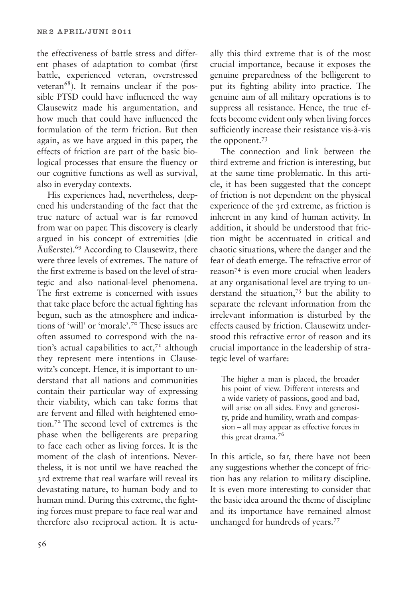the effectiveness of battle stress and different phases of adaptation to combat (first battle, experienced veteran, overstressed veteran<sup>68</sup>). It remains unclear if the possible PTSD could have influenced the way Clausewitz made his argumentation, and how much that could have influenced the formulation of the term friction. But then again, as we have argued in this paper, the effects of friction are part of the basic biological processes that ensure the fluency or our cognitive functions as well as survival, also in everyday contexts.

His experiences had, nevertheless, deepened his understanding of the fact that the true nature of actual war is far removed from war on paper. This discovery is clearly argued in his concept of extremities (die Äußerste).<sup>69</sup> According to Clausewitz, there were three levels of extremes. The nature of the first extreme is based on the level of strategic and also national-level phenomena. The first extreme is concerned with issues that take place before the actual fighting has begun, such as the atmosphere and indications of 'will' or 'morale'.<sup>70</sup> These issues are often assumed to correspond with the nation's actual capabilities to  $act<sub>71</sub>$  although they represent mere intentions in Clausewitz's concept. Hence, it is important to understand that all nations and communities contain their particular way of expressing their viability, which can take forms that are fervent and filled with heightened emotion.<sup>72</sup> The second level of extremes is the phase when the belligerents are preparing to face each other as living forces. It is the moment of the clash of intentions. Nevertheless, it is not until we have reached the 3rd extreme that real warfare will reveal its devastating nature, to human body and to human mind. During this extreme, the fighting forces must prepare to face real war and therefore also reciprocal action. It is actu-

56

ally this third extreme that is of the most crucial importance, because it exposes the genuine preparedness of the belligerent to put its fighting ability into practice. The genuine aim of all military operations is to suppress all resistance. Hence, the true effects become evident only when living forces sufficiently increase their resistance vis-à-vis the opponent.<sup>73</sup>

The connection and link between the third extreme and friction is interesting, but at the same time problematic. In this article, it has been suggested that the concept of friction is not dependent on the physical experience of the 3rd extreme, as friction is inherent in any kind of human activity. In addition, it should be understood that friction might be accentuated in critical and chaotic situations, where the danger and the fear of death emerge. The refractive error of reason<sup>74</sup> is even more crucial when leaders at any organisational level are trying to understand the situation,<sup>75</sup> but the ability to separate the relevant information from the irrelevant information is disturbed by the effects caused by friction. Clausewitz understood this refractive error of reason and its crucial importance in the leadership of strategic level of warfare:

The higher a man is placed, the broader his point of view. Different interests and a wide variety of passions, good and bad, will arise on all sides. Envy and generosity, pride and humility, wrath and compassion – all may appear as effective forces in this great drama.<sup>76</sup>

In this article, so far, there have not been any suggestions whether the concept of friction has any relation to military discipline. It is even more interesting to consider that the basic idea around the theme of discipline and its importance have remained almost unchanged for hundreds of years.<sup>77</sup>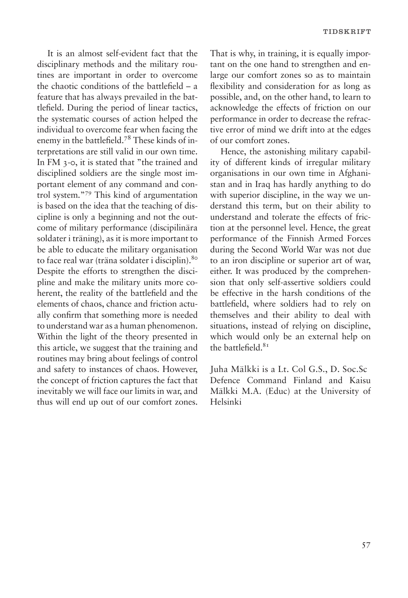It is an almost self-evident fact that the disciplinary methods and the military routines are important in order to overcome the chaotic conditions of the battlefield – a feature that has always prevailed in the battlefield. During the period of linear tactics, the systematic courses of action helped the individual to overcome fear when facing the enemy in the battlefield.78 These kinds of interpretations are still valid in our own time. In FM 3-0, it is stated that "the trained and disciplined soldiers are the single most important element of any command and control system."<sup>79</sup> This kind of argumentation is based on the idea that the teaching of discipline is only a beginning and not the outcome of military performance (discipilinära soldater i träning), as it is more important to be able to educate the military organisation to face real war (träna soldater i disciplin).<sup>80</sup> Despite the efforts to strengthen the discipline and make the military units more coherent, the reality of the battlefield and the elements of chaos, chance and friction actually confirm that something more is needed to understand war as a human phenomenon. Within the light of the theory presented in this article, we suggest that the training and routines may bring about feelings of control and safety to instances of chaos. However, the concept of friction captures the fact that inevitably we will face our limits in war, and thus will end up out of our comfort zones. That is why, in training, it is equally important on the one hand to strengthen and enlarge our comfort zones so as to maintain flexibility and consideration for as long as possible, and, on the other hand, to learn to acknowledge the effects of friction on our performance in order to decrease the refractive error of mind we drift into at the edges of our comfort zones.

Hence, the astonishing military capability of different kinds of irregular military organisations in our own time in Afghanistan and in Iraq has hardly anything to do with superior discipline, in the way we understand this term, but on their ability to understand and tolerate the effects of friction at the personnel level. Hence, the great performance of the Finnish Armed Forces during the Second World War was not due to an iron discipline or superior art of war, either. It was produced by the comprehension that only self-assertive soldiers could be effective in the harsh conditions of the battlefield, where soldiers had to rely on themselves and their ability to deal with situations, instead of relying on discipline, which would only be an external help on the battlefield. $81$ 

Juha Mälkki is a Lt. Col G.S., D. Soc.Sc Defence Command Finland and Kaisu Mälkki M.A. (Educ) at the University of Helsinki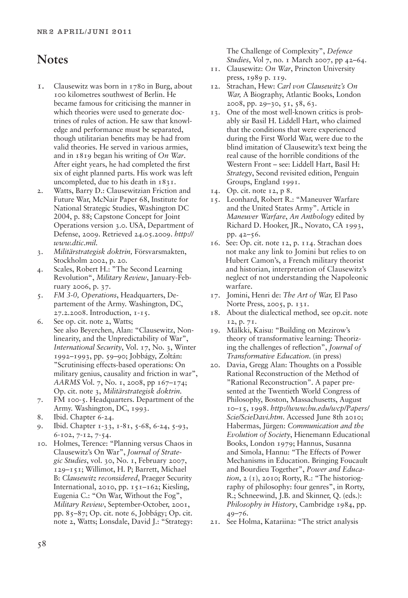# **Notes**

- 1. Clausewitz was born in 1780 in Burg, about 100 kilometres southwest of Berlin. He became famous for criticising the manner in which theories were used to generate doctrines of rules of action. He saw that knowledge and performance must be separated, though utilitarian benefits may be had from valid theories. He served in various armies, and in 1819 began his writing of *On War*. After eight years, he had completed the first six of eight planned parts. His work was left uncompleted, due to his death in 1831.
- 2. Watts, Barry D.: Clausewitzian Friction and Future War, McNair Paper 68, Institute for National Strategic Studies, Washington DC 2004, p. 88; Capstone Concept for Joint Operations version 3.0. USA, Department of Defense, 2009. Retrieved 24.05.2009. *http:// www.dtic.mil.*
- 3. *Militärstrategisk doktrin,* Försvarsmakten, Stockholm 2002, p. 20.
- 4. Scales, Robert H.: "The Second Learning Revolution", *Military Review*, January-February 2006, p. 37.
- 5. *FM 3-0, Operations*, Headquarters, Departement of the Army. Washington, DC, 27.2.2008. Introduction, 1-15.
- 6. See op. cit. note 2, Watts; See also Beyerchen, Alan: "Clausewitz, Nonlinearity, and the Unpredictability of War", *International Security*, Vol. 17, No. 3, Winter 1992–1993, pp. 59–90; Jobbágy, Zoltán: "Scrutinising effects-based operations: On military genius, causality and friction in war", *AARMS* Vol. 7, No. 1, 2008, pp 167–174; Op. cit. note 3, *Militärstrategisk doktrin.*
- 7. FM 100-5. Headquarters. Department of the Army. Washington, DC, 1993.
- 8. Ibid. Chapter 6-24.
- 9. Ibid. Chapter 1-33, 1-81, 5-68, 6-24, 5-93, 6-102, 7-12, 7-54.
- 10. Holmes, Terence: "Planning versus Chaos in Clausewitz's On War", *Journal of Strategic Studies*, vol. 30, No. 1, February 2007, 129–151; Willimot, H. P; Barrett, Michael B: *Clausewitz reconsidered*, Praeger Security International, 2010, pp. 151–162; Kiesling, Eugenia C.: "On War, Without the Fog", *Military Review*, September-October, 2001, pp. 85–87; Op. cit. note 6, Jobbágy; Op. cit. note 2, Watts; Lonsdale, David J.: "Strategy:

The Challenge of Complexity", *Defence Studies*, Vol 7, no. 1 March 2007, pp 42–64.

- 11. Clausewitz: *On War*, Princton University press, 1989 p. 119.
- 12. Strachan, Hew: *Carl von Clausewitz's On War,* A Biography, Atlantic Books, London 2008, pp. 29–30, 51, 58, 63.
- 13. One of the most well-known critics is probably sir Basil H. Liddell Hart, who claimed that the conditions that were experienced during the First World War, were due to the blind imitation of Clausewitz's text being the real cause of the horrible conditions of the Western Front – see: Liddell Hart, Basil H: *Strategy*, Second revisited edition, Penguin Groups, England 1991.
- 14. Op. cit. note 12, p 8.
- 15. Leonhard, Robert R.: "Maneuver Warfare and the United States Army". Article in *Maneuver Warfare*, *An Anthology* edited by Richard D. Hooker, JR., Novato, CA 1993, pp. 42–56.
- 16. See: Op. cit. note 12, p. 114. Strachan does not make any link to Jomini but relies to on Hubert Camon's, a French military theorist and historian, interpretation of Clausewitz's neglect of not understanding the Napoleonic warfare.
- 17. Jomini, Henri de: *The Art of War,* El Paso Norte Press, 2005, p. 131.
- 18. About the dialectical method, see op.cit. note 12, p. 71.
- 19. Mälkki, Kaisu: "Building on Mezirow's theory of transformative learning: Theorizing the challenges of reflection", *Journal of Transformative Education*. (in press)
- 20. Davia, Gregg Alan: Thoughts on a Possible Rational Reconstruction of the Method of "Rational Reconstruction". A paper presented at the Twentieth World Congress of Philosophy, Boston, Massachusetts, August 10–15, 1998. *http://www.bu.edu/wcp/Papers/ Scie/ScieDavi.htm*. Accessed June 8th 2010; Habermas, Jürgen: *Communication and the Evolution of Society*, Hienemann Educational Books, London 1979; Hannus, Susanna and Simola, Hannu: "The Effects of Power Mechanisms in Education. Bringing Foucault and Bourdieu Together", *Power and Education*, 2 (1), 2010; Rorty, R.: "The historiography of philosophy: four genres", in Rorty, R.; Schneewind, J.B. and Skinner, Q. (eds.): *Philosophy in History*, Cambridge 1984, pp. 49–76.
- 21. See Holma, Katariina: "The strict analysis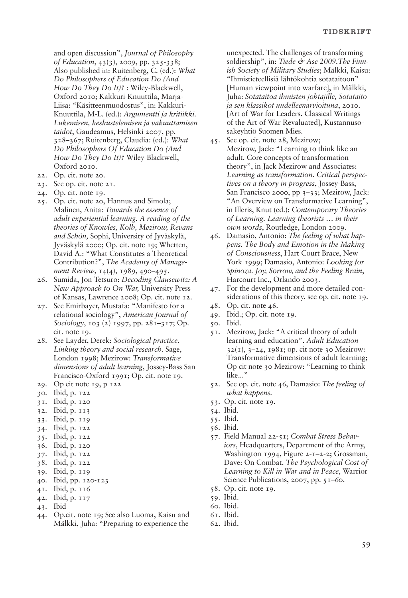and open discussion", *Journal of Philosophy of Education*, 43(3), 2009, pp. 325-338; Also published in: Ruitenberg, C. (ed.): *What Do Philosophers of Education Do (And How Do They Do It)?* : Wiley-Blackwell, Oxford 2010; Kakkuri-Knuuttila, Marja-Liisa: "Käsitteenmuodostus", in: Kakkuri-Knuuttila, M-L. (ed.): *Argumentti ja kritiikki. Lukemisen, keskustelemisen ja vakuuttamisen taidot*, Gaudeamus, Helsinki 2007, pp. 328–367; Ruitenberg, Claudia: (ed.): *What Do Philosophers Of Education Do (And How Do They Do It)?* Wiley-Blackwell, Oxford 2010.

- 22. Op. cit. note 20.
- 23. See op. cit. note 21.
- 24. Op. cit. note 19.
- 25. Op. cit. note 20, Hannus and Simola; Malinen, Anita: *Towards the essence of adult experiential learning. A reading of the theories of Knowles, Kolb, Mezirow, Revans and Schön,* Sophi, University of Jyväskylä, Jyväskylä 2000; Op. cit. note 19; Whetten, David A.: "What Constitutes a Theoretical Contribution?", *The Academy of Management Review*, 14(4), 1989, 490–495.
- 26. Sumida, Jon Tetsuro: *Decoding Clausewitz: A New Approach to On War,* University Press of Kansas, Lawrence 2008; Op. cit. note 12.
- 27. See Emirbayer, Mustafa: "Manifesto for a relational sociology", *American Journal of Sociology*, 103 (2) 1997, pp. 281–317; Op. cit. note 19.
- 28. See Layder, Derek: *Sociological practice. Linking theory and social research*. Sage, London 1998; Mezirow: *Transformative dimensions of adult learning*, Jossey-Bass San Francisco-Oxford 1991; Op. cit. note 19.
- 29. Op cit note 19, p 122
- 30. Ibid, p. 122
- 31. Ibid, p. 120
- 32. Ibid, p. 113
- 33. Ibid, p. 119
- 34. Ibid, p. 122
- 35. Ibid, p. 122
- 36. Ibid, p. 120
- 37. Ibid, p. 122
- 38. Ibid, p. 122
- 39. Ibid, p. 119
- 40. Ibid, pp. 120-123
- 41. Ibid, p. 116
- 42. Ibid, p. 117
- 43. Ibid
- 44. Op.cit. note 19; See also Luoma, Kaisu and Mälkki, Juha: "Preparing to experience the

unexpected. The challenges of transforming soldiership", in: Tiede & Ase 2009. The Finn*ish Society of Military Studies*; Mälkki, Kaisu: "Ihmistieteellisiä lähtökohtia sotataitoon" [Human viewpoint into warfare], in Mälkki, Juha: *Sotataitoa ihmisten johtajille, Sotataito ja sen klassikot uudelleenarvioituna*, 2010. [Art of War for Leaders. Classical Writings of the Art of War Revaluated], Kustannusosakeyhtiö Suomen Mies.

- 45. See op. cit. note 28, Mezirow; Mezirow, Jack: "Learning to think like an adult. Core concepts of transformation theory", in Jack Mezirow and Associates: *Learning as transformation. Critical perspectives on a theory in progress*, Jossey-Bass, San Francisco 2000, pp 3–33; Mezirow, Jack: "An Overview on Transformative Learning", in Illeris, Knut (ed.): *Contemporary Theories of Learning. Learning theorists … in their own words*, Routledge, London 2009.
- 46. Damasio, Antonio: *The feeling of what happens. The Body and Emotion in the Making of Consciousness*, Hart Court Brace, New York 1999; Damasio, Antonio: *Looking for Spinoza. Joy, Sorrow, and the Feeling Brain*, Harcourt Inc., Orlando 2003.
- 47. For the development and more detailed considerations of this theory, see op. cit. note 19.
- 48. Op. cit. note 46.
- 49. Ibid.; Op. cit. note 19.
- 50. Ibid.
- 51. Mezirow, Jack: "A critical theory of adult learning and education". *Adult Education* 32(1), 3–24, 1981; op. cit note 30 Mezirow: Transformative dimensions of adult learning; Op cit note 30 Mezirow: "Learning to think like..."
- 52. See op. cit. note 46, Damasio: *The feeling of what happens.*
- 53. Op. cit. note 19.
- 54. Ibid.
- 55. Ibid.
- 56. Ibid.
- 57. Field Manual 22-51; *Combat Stress Behaviors*, Headquarters, Department of the Army, Washington 1994, Figure 2-1–2-2; Grossman, Dave: On Combat. *The Psychological Cost of Learning to Kill in War and in Peace*, Warrior Science Publications, 2007, pp. 51–60.
- 58. Op. cit. note 19.
- 59. Ibid.
- 60. Ibid.
- 61. Ibid.
- 62. Ibid.